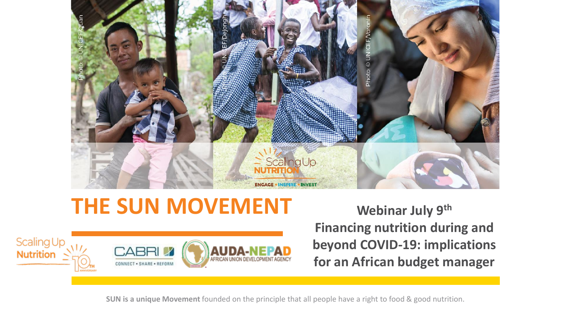

# **THE SUN MOVEMENT Webinar July 9th**



**Financing nutrition during and beyond COVID-19: implications for an African budget manager** 

**SUN is a unique Movement** founded on the principle that all people have a right to food & good nutrition.